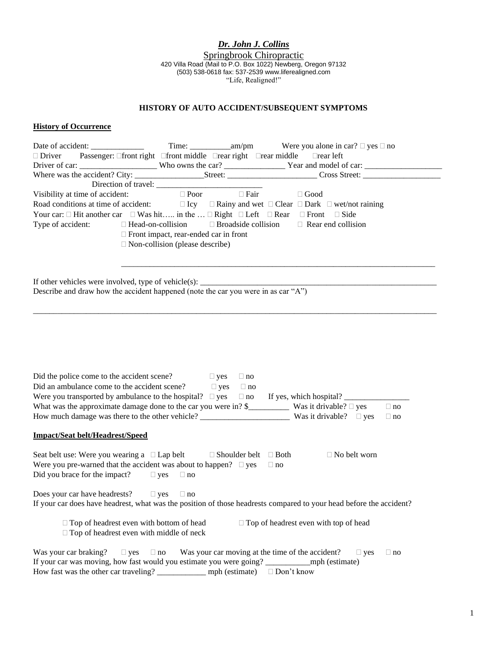*Dr. John J. Collins*

Springbrook Chiropractic 420 Villa Road (Mail to P.O. Box 1022) Newberg, Oregon 97132 (503) 538-0618 fax: 537-2539 www.liferealigned.com "Life, Realigned!"

## **HISTORY OF AUTO ACCIDENT/SUBSEQUENT SYMPTOMS**

## **History of Occurrence**

| Passenger: Ofront right Ofront middle Orear right Orear middle Orear left<br>$\Box$ Driver                                                                      |           |
|-----------------------------------------------------------------------------------------------------------------------------------------------------------------|-----------|
|                                                                                                                                                                 |           |
|                                                                                                                                                                 |           |
|                                                                                                                                                                 |           |
| $\Box$ Poor<br>$\Box$ Fair<br>Visibility at time of accident:<br>$\Box$ Good                                                                                    |           |
|                                                                                                                                                                 |           |
| Your car: $\Box$ Hit another car $\Box$ Was hit in the $\Box$ Right $\Box$ Left $\Box$ Rear $\Box$ Front<br>$\Box$ Side                                         |           |
| Type of accident:<br>$\Box$ Broadside collision<br>$\Box$ Rear end collision<br>$\Box$ Head-on-collision                                                        |           |
| $\Box$ Front impact, rear-ended car in front                                                                                                                    |           |
| $\Box$ Non-collision (please describe)                                                                                                                          |           |
|                                                                                                                                                                 |           |
|                                                                                                                                                                 |           |
|                                                                                                                                                                 |           |
| If other vehicles were involved, type of vehicle(s): $\overline{\phantom{a}}$ Describe and draw how the accident happened (note the car you were in as car "A") |           |
|                                                                                                                                                                 |           |
|                                                                                                                                                                 |           |
|                                                                                                                                                                 |           |
|                                                                                                                                                                 |           |
|                                                                                                                                                                 |           |
|                                                                                                                                                                 |           |
|                                                                                                                                                                 |           |
|                                                                                                                                                                 |           |
|                                                                                                                                                                 |           |
| $\Box$ yes<br>Did the police come to the accident scene?<br>$\Box$ no                                                                                           |           |
| Did an ambulance come to the accident scene?<br>$\Box$ yes<br>$\Box$ no                                                                                         |           |
| Were you transported by ambulance to the hospital? $\Box$ yes $\Box$ no If yes, which hospital?                                                                 |           |
| What was the approximate damage done to the car you were in? $\frac{1}{2}$ Was it drivable? $\Box$ yes                                                          | $\Box$ no |
|                                                                                                                                                                 | $\Box$ no |
|                                                                                                                                                                 |           |
| <b>Impact/Seat belt/Headrest/Speed</b>                                                                                                                          |           |
|                                                                                                                                                                 |           |
| Seat belt use: Were you wearing a $\Box$ Lap belt $\Box$ Shoulder belt $\Box$ Both<br>$\Box$ No belt worn                                                       |           |
| Were you pre-warned that the accident was about to happen? $\Box$ yes<br>$\Box$ no                                                                              |           |
| Did you brace for the impact? $\Box$ yes $\Box$ no                                                                                                              |           |
|                                                                                                                                                                 |           |
|                                                                                                                                                                 |           |
| Does your car have headrests? $\square$ yes<br>$\Box$ no                                                                                                        |           |
| If your car does have headrest, what was the position of those headrests compared to your head before the accident?                                             |           |
|                                                                                                                                                                 |           |
| $\Box$ Top of headrest even with bottom of head<br>$\Box$ Top of headrest even with top of head                                                                 |           |

 $\Box$  Top of headrest even with middle of neck

|                                       |  | Was your car braking? $\square$ yes $\square$ no Was your car moving at the time of the accident? $\square$ yes |  | $\Box$ no |
|---------------------------------------|--|-----------------------------------------------------------------------------------------------------------------|--|-----------|
|                                       |  | If your car was moving, how fast would you estimate you were going? _____________ mph (estimate)                |  |           |
| How fast was the other car traveling? |  | mph (estimate) $\Box$ Don't know                                                                                |  |           |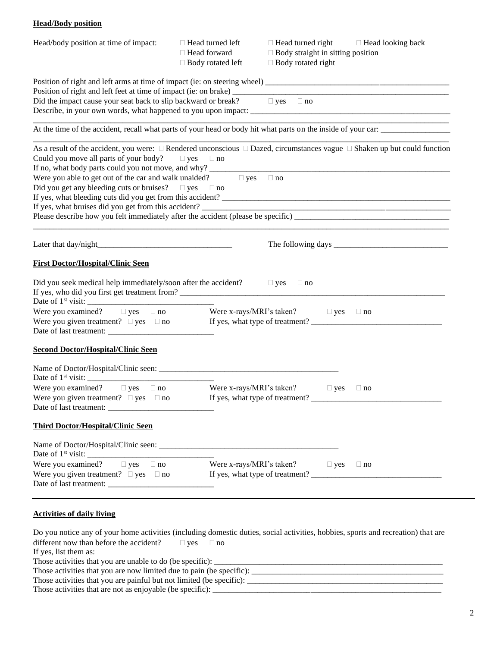## **Head/Body position**

| Head/body position at time of impact:                                                                                                                                                                                                                                                                                                                   | $\Box$ Head turned left<br>□ Head forward<br>$\Box$ Body rotated left | $\Box$ Head turned right $\Box$ Head looking back<br>$\Box$ Body straight in sitting position<br>$\Box$ Body rotated right |           |
|---------------------------------------------------------------------------------------------------------------------------------------------------------------------------------------------------------------------------------------------------------------------------------------------------------------------------------------------------------|-----------------------------------------------------------------------|----------------------------------------------------------------------------------------------------------------------------|-----------|
| Did the impact cause your seat back to slip backward or break? $\Box$ yes $\Box$ no                                                                                                                                                                                                                                                                     |                                                                       |                                                                                                                            |           |
| At the time of the accident, recall what parts of your head or body hit what parts on the inside of your car:                                                                                                                                                                                                                                           |                                                                       |                                                                                                                            |           |
| As a result of the accident, you were: $\Box$ Rendered unconscious $\Box$ Dazed, circumstances vague $\Box$ Shaken up but could function<br>Could you move all parts of your body? $\Box$ yes $\Box$ no<br>Were you able to get out of the car and walk unaided? $\Box$ yes $\Box$ no<br>Did you get any bleeding cuts or bruises? $\Box$ yes $\Box$ no |                                                                       |                                                                                                                            |           |
|                                                                                                                                                                                                                                                                                                                                                         |                                                                       |                                                                                                                            |           |
| <b>First Doctor/Hospital/Clinic Seen</b>                                                                                                                                                                                                                                                                                                                |                                                                       |                                                                                                                            |           |
| Did you seek medical help immediately/soon after the accident? $\Box$ yes $\Box$ no                                                                                                                                                                                                                                                                     |                                                                       |                                                                                                                            |           |
| Were you examined? $\Box$ yes $\Box$ no Were x-rays/MRI's taken? $\Box$ yes $\Box$ no                                                                                                                                                                                                                                                                   |                                                                       |                                                                                                                            |           |
| <b>Second Doctor/Hospital/Clinic Seen</b>                                                                                                                                                                                                                                                                                                               |                                                                       |                                                                                                                            |           |
| Were you examined? $\Box$ yes $\Box$ no<br>Were you given treatment? $\Box$ yes $\Box$ no                                                                                                                                                                                                                                                               |                                                                       | Were x-rays/MRI's taken? $\square$ yes<br>If yes, what type of tractment?<br>If yes, what type of treatment?               | $\Box$ no |
|                                                                                                                                                                                                                                                                                                                                                         |                                                                       |                                                                                                                            |           |
| <b>Third Doctor/Hospital/Clinic Seen</b>                                                                                                                                                                                                                                                                                                                |                                                                       |                                                                                                                            |           |
|                                                                                                                                                                                                                                                                                                                                                         |                                                                       |                                                                                                                            |           |
| Were you examined? $\Box$ yes $\Box$ no<br>Were you given treatment? $\square$ yes $\square$ no If yes, what type of treatment?                                                                                                                                                                                                                         |                                                                       | Were x-rays/MRI's taken? $\Box$ yes $\Box$ no                                                                              |           |
| <b>Activities of daily living</b>                                                                                                                                                                                                                                                                                                                       |                                                                       |                                                                                                                            |           |

Do you notice any of your home activities (including domestic duties, social activities, hobbies, sports and recreation) that are different now than before the accident?  $\Box$  yes  $\Box$  no If yes, list them as: Those activities that you are unable to do (be specific):  $\overline{\phantom{a}}$ Those activities that you are now limited due to pain (be specific):

| Those activities that you are painful but not limited (be specific): |  |  |
|----------------------------------------------------------------------|--|--|
| Those activities that are not as enjoyable (be specific)             |  |  |